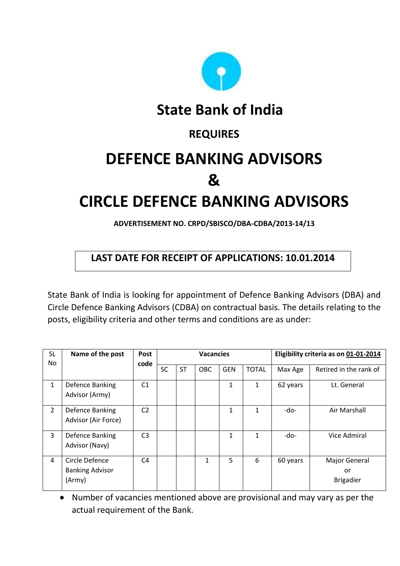

**State Bank of India**

### **REQUIRES**

# **DEFENCE BANKING ADVISORS &**

## **CIRCLE DEFENCE BANKING ADVISORS**

**ADVERTISEMENT NO. CRPD/SBISCO/DBA-CDBA/2013-14/13**

#### **LAST DATE FOR RECEIPT OF APPLICATIONS: 10.01.2014**

State Bank of India is looking for appointment of Defence Banking Advisors (DBA) and Circle Defence Banking Advisors (CDBA) on contractual basis. The details relating to the posts, eligibility criteria and other terms and conditions are as under:

| <b>SL</b><br>No | Name of the post                                   | Post           | <b>Vacancies</b> |           |              |              |              | Eligibility criteria as on 01-01-2014 |                                         |
|-----------------|----------------------------------------------------|----------------|------------------|-----------|--------------|--------------|--------------|---------------------------------------|-----------------------------------------|
|                 |                                                    | code           | <b>SC</b>        | <b>ST</b> | OBC          | <b>GEN</b>   | <b>TOTAL</b> | Max Age                               | Retired in the rank of                  |
| 1               | Defence Banking<br>Advisor (Army)                  | C1             |                  |           |              | 1            | 1            | 62 years                              | Lt. General                             |
| $\overline{2}$  | Defence Banking<br>Advisor (Air Force)             | C <sub>2</sub> |                  |           |              | $\mathbf{1}$ | 1            | -do-                                  | Air Marshall                            |
| 3               | Defence Banking<br>Advisor (Navy)                  | C <sub>3</sub> |                  |           |              | 1            | 1            | -do-                                  | Vice Admiral                            |
| 4               | Circle Defence<br><b>Banking Advisor</b><br>(Army) | C <sub>4</sub> |                  |           | $\mathbf{1}$ | 5            | 6            | 60 years                              | Major General<br>or<br><b>Brigadier</b> |

Number of vacancies mentioned above are provisional and may vary as per the actual requirement of the Bank.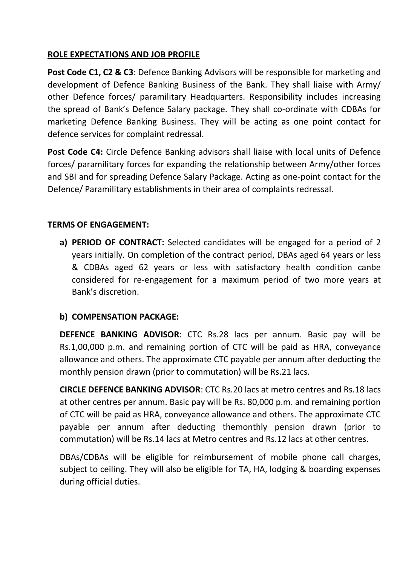#### **ROLE EXPECTATIONS AND JOB PROFILE**

Post Code C1, C2 & C3: Defence Banking Advisors will be responsible for marketing and development of Defence Banking Business of the Bank. They shall liaise with Army/ other Defence forces/ paramilitary Headquarters. Responsibility includes increasing the spread of Bank's Defence Salary package. They shall co-ordinate with CDBAs for marketing Defence Banking Business. They will be acting as one point contact for defence services for complaint redressal.

**Post Code C4:** Circle Defence Banking advisors shall liaise with local units of Defence forces/ paramilitary forces for expanding the relationship between Army/other forces and SBI and for spreading Defence Salary Package. Acting as one-point contact for the Defence/ Paramilitary establishments in their area of complaints redressal.

#### **TERMS OF ENGAGEMENT:**

**a) PERIOD OF CONTRACT:** Selected candidates will be engaged for a period of 2 years initially. On completion of the contract period, DBAs aged 64 years or less & CDBAs aged 62 years or less with satisfactory health condition canbe considered for re-engagement for a maximum period of two more years at Bank's discretion.

#### **b) COMPENSATION PACKAGE:**

**DEFENCE BANKING ADVISOR**: CTC Rs.28 lacs per annum. Basic pay will be Rs.1,00,000 p.m. and remaining portion of CTC will be paid as HRA, conveyance allowance and others. The approximate CTC payable per annum after deducting the monthly pension drawn (prior to commutation) will be Rs.21 lacs.

**CIRCLE DEFENCE BANKING ADVISOR**: CTC Rs.20 lacs at metro centres and Rs.18 lacs at other centres per annum. Basic pay will be Rs. 80,000 p.m. and remaining portion of CTC will be paid as HRA, conveyance allowance and others. The approximate CTC payable per annum after deducting themonthly pension drawn (prior to commutation) will be Rs.14 lacs at Metro centres and Rs.12 lacs at other centres.

DBAs/CDBAs will be eligible for reimbursement of mobile phone call charges, subject to ceiling. They will also be eligible for TA, HA, lodging & boarding expenses during official duties.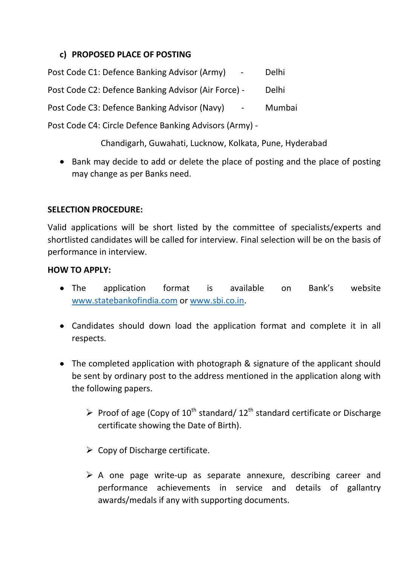#### **c) PROPOSED PLACE OF POSTING**

| Post Code C1: Defence Banking Advisor (Army)                    | Delhi  |
|-----------------------------------------------------------------|--------|
| Post Code C2: Defence Banking Advisor (Air Force) -             | Delhi  |
| Post Code C3: Defence Banking Advisor (Navy)<br>$\sim 10^{-11}$ | Mumbai |
| Post Code C4: Circle Defence Banking Advisors (Army) -          |        |

Chandigarh, Guwahati, Lucknow, Kolkata, Pune, Hyderabad

• Bank may decide to add or delete the place of posting and the place of posting may change as per Banks need.

#### **SELECTION PROCEDURE:**

Valid applications will be short listed by the committee of specialists/experts and shortlisted candidates will be called for interview. Final selection will be on the basis of performance in interview.

#### **HOW TO APPLY:**

- The application format is available on Bank's website [www.statebankofindia.com](http://www.statebankofindia.com/) or [www.sbi.co.in.](http://www.sbi.co.in/)
- Candidates should down load the application format and complete it in all respects.
- The completed application with photograph & signature of the applicant should be sent by ordinary post to the address mentioned in the application along with the following papers.
	- Proof of age (Copy of  $10^{th}$  standard/  $12^{th}$  standard certificate or Discharge certificate showing the Date of Birth).
	- $\triangleright$  Copy of Discharge certificate.
	- $\triangleright$  A one page write-up as separate annexure, describing career and performance achievements in service and details of gallantry awards/medals if any with supporting documents.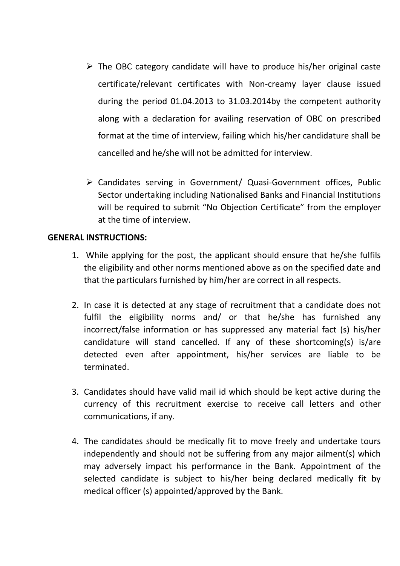- $\triangleright$  The OBC category candidate will have to produce his/her original caste certificate/relevant certificates with Non-creamy layer clause issued during the period 01.04.2013 to 31.03.2014by the competent authority along with a declaration for availing reservation of OBC on prescribed format at the time of interview, failing which his/her candidature shall be cancelled and he/she will not be admitted for interview.
- Candidates serving in Government/ Quasi-Government offices, Public Sector undertaking including Nationalised Banks and Financial Institutions will be required to submit "No Objection Certificate" from the employer at the time of interview.

#### **GENERAL INSTRUCTIONS:**

- 1. While applying for the post, the applicant should ensure that he/she fulfils the eligibility and other norms mentioned above as on the specified date and that the particulars furnished by him/her are correct in all respects.
- 2. In case it is detected at any stage of recruitment that a candidate does not fulfil the eligibility norms and/ or that he/she has furnished any incorrect/false information or has suppressed any material fact (s) his/her candidature will stand cancelled. If any of these shortcoming(s) is/are detected even after appointment, his/her services are liable to be terminated.
- 3. Candidates should have valid mail id which should be kept active during the currency of this recruitment exercise to receive call letters and other communications, if any.
- 4. The candidates should be medically fit to move freely and undertake tours independently and should not be suffering from any major ailment(s) which may adversely impact his performance in the Bank. Appointment of the selected candidate is subject to his/her being declared medically fit by medical officer (s) appointed/approved by the Bank.